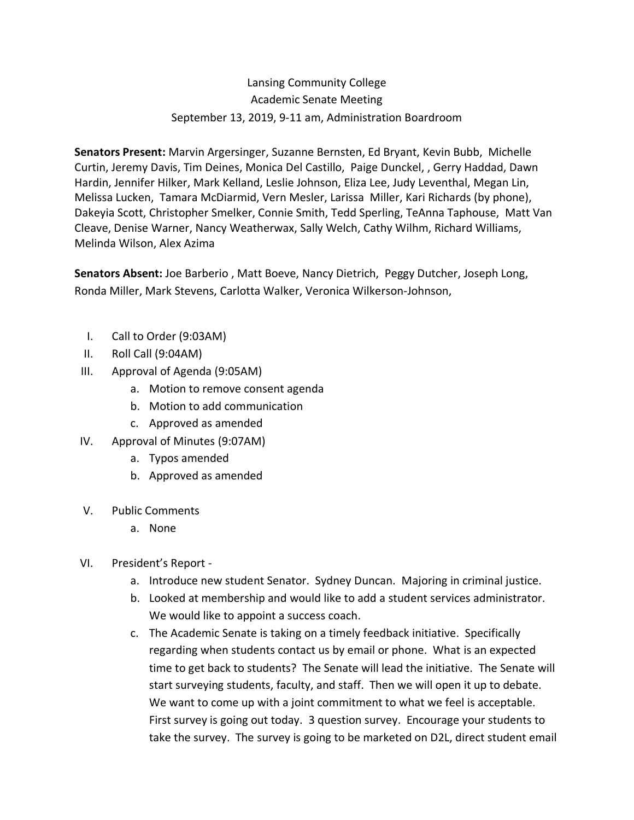## Lansing Community College Academic Senate Meeting September 13, 2019, 9-11 am, Administration Boardroom

**Senators Present:** Marvin Argersinger, Suzanne Bernsten, Ed Bryant, Kevin Bubb, Michelle Curtin, Jeremy Davis, Tim Deines, Monica Del Castillo, Paige Dunckel, , Gerry Haddad, Dawn Hardin, Jennifer Hilker, Mark Kelland, Leslie Johnson, Eliza Lee, Judy Leventhal, Megan Lin, Melissa Lucken, Tamara McDiarmid, Vern Mesler, Larissa Miller, Kari Richards (by phone), Dakeyia Scott, Christopher Smelker, Connie Smith, Tedd Sperling, TeAnna Taphouse, Matt Van Cleave, Denise Warner, Nancy Weatherwax, Sally Welch, Cathy Wilhm, Richard Williams, Melinda Wilson, Alex Azima

**Senators Absent:** Joe Barberio , Matt Boeve, Nancy Dietrich, Peggy Dutcher, Joseph Long, Ronda Miller, Mark Stevens, Carlotta Walker, Veronica Wilkerson-Johnson,

- I. Call to Order (9:03AM)
- II. Roll Call (9:04AM)
- III. Approval of Agenda (9:05AM)
	- a. Motion to remove consent agenda
	- b. Motion to add communication
	- c. Approved as amended
- IV. Approval of Minutes (9:07AM)
	- a. Typos amended
	- b. Approved as amended
- V. Public Comments
	- a. None
- VI. President's Report
	- a. Introduce new student Senator. Sydney Duncan. Majoring in criminal justice.
	- b. Looked at membership and would like to add a student services administrator. We would like to appoint a success coach.
	- c. The Academic Senate is taking on a timely feedback initiative. Specifically regarding when students contact us by email or phone. What is an expected time to get back to students? The Senate will lead the initiative. The Senate will start surveying students, faculty, and staff. Then we will open it up to debate. We want to come up with a joint commitment to what we feel is acceptable. First survey is going out today. 3 question survey. Encourage your students to take the survey. The survey is going to be marketed on D2L, direct student email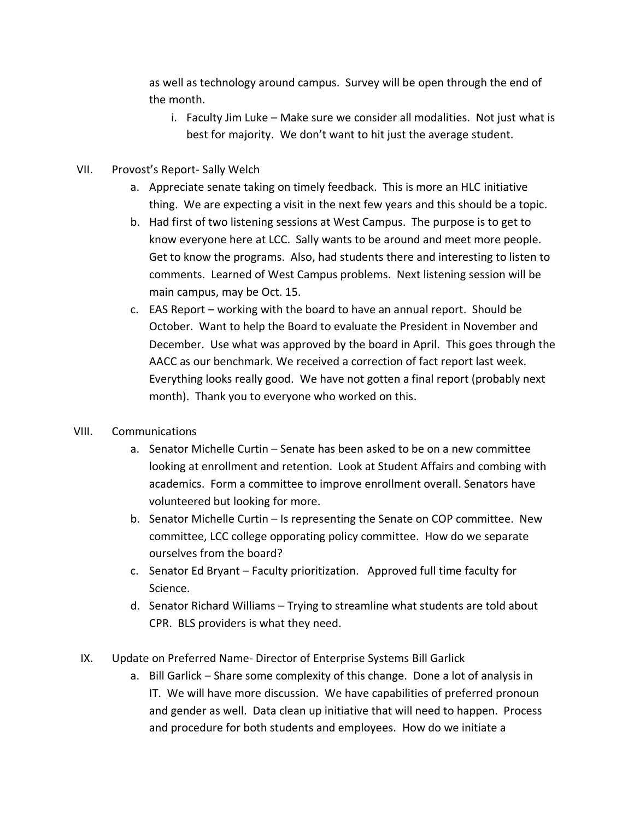as well as technology around campus. Survey will be open through the end of the month.

- i. Faculty Jim Luke Make sure we consider all modalities. Not just what is best for majority. We don't want to hit just the average student.
- VII. Provost's Report- Sally Welch
	- a. Appreciate senate taking on timely feedback. This is more an HLC initiative thing. We are expecting a visit in the next few years and this should be a topic.
	- b. Had first of two listening sessions at West Campus. The purpose is to get to know everyone here at LCC. Sally wants to be around and meet more people. Get to know the programs. Also, had students there and interesting to listen to comments. Learned of West Campus problems. Next listening session will be main campus, may be Oct. 15.
	- c. EAS Report working with the board to have an annual report. Should be October. Want to help the Board to evaluate the President in November and December. Use what was approved by the board in April. This goes through the AACC as our benchmark. We received a correction of fact report last week. Everything looks really good. We have not gotten a final report (probably next month). Thank you to everyone who worked on this.

## VIII. Communications

- a. Senator Michelle Curtin Senate has been asked to be on a new committee looking at enrollment and retention. Look at Student Affairs and combing with academics. Form a committee to improve enrollment overall. Senators have volunteered but looking for more.
- b. Senator Michelle Curtin Is representing the Senate on COP committee. New committee, LCC college opporating policy committee. How do we separate ourselves from the board?
- c. Senator Ed Bryant Faculty prioritization. Approved full time faculty for Science.
- d. Senator Richard Williams Trying to streamline what students are told about CPR. BLS providers is what they need.
- IX. Update on Preferred Name- Director of Enterprise Systems Bill Garlick
	- a. Bill Garlick Share some complexity of this change. Done a lot of analysis in IT. We will have more discussion. We have capabilities of preferred pronoun and gender as well. Data clean up initiative that will need to happen. Process and procedure for both students and employees. How do we initiate a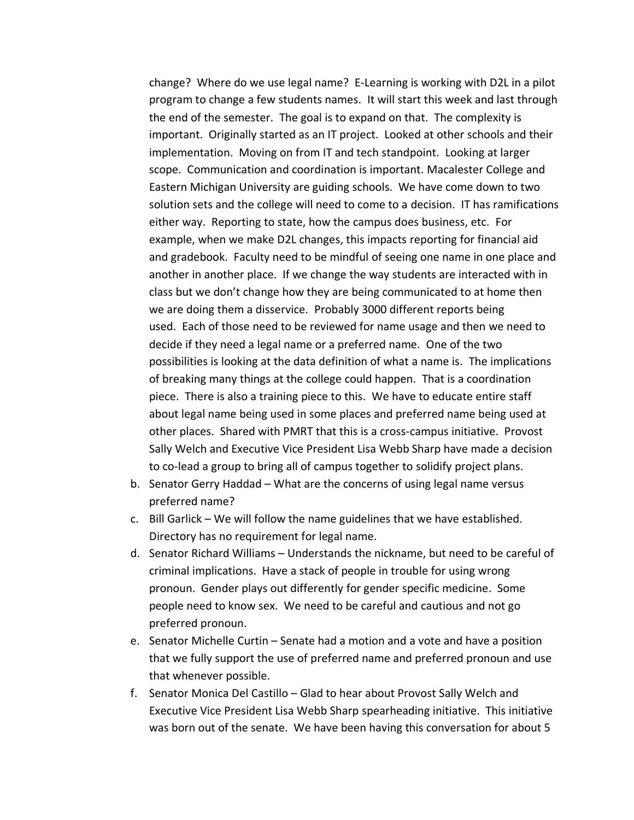change? Where do we use legal name? E-Learning is working with D2L in a pilot program to change a few students names. It will start this week and last through the end of the semester. The goal is to expand on that. The complexity is important. Originally started as an IT project. Looked at other schools and their implementation. Moving on from IT and tech standpoint. Looking at larger scope. Communication and coordination is important. Macalester College and Eastern Michigan University are guiding schools. We have come down to two solution sets and the college will need to come to a decision. IT has ramifications either way. Reporting to state, how the campus does business, etc. For example, when we make D2L changes, this impacts reporting for financial aid and gradebook. Faculty need to be mindful of seeing one name in one place and another in another place. If we change the way students are interacted with in class but we don't change how they are being communicated to at home then we are doing them a disservice. Probably 3000 different reports being used. Each of those need to be reviewed for name usage and then we need to decide if they need a legal name or a preferred name. One of the two possibilities is looking at the data definition of what a name is. The implications of breaking many things at the college could happen. That is a coordination piece. There is also a training piece to this. We have to educate entire staff about legal name being used in some places and preferred name being used at other places. Shared with PMRT that this is a cross-campus initiative. Provost Sally Welch and Executive Vice President Lisa Webb Sharp have made a decision to co-lead a group to bring all of campus together to solidify project plans.

- b. Senator Gerry Haddad What are the concerns of using legal name versus preferred name?
- c. Bill Garlick We will follow the name guidelines that we have established. Directory has no requirement for legal name.
- d. Senator Richard Williams Understands the nickname, but need to be careful of criminal implications. Have a stack of people in trouble for using wrong pronoun. Gender plays out differently for gender specific medicine. Some people need to know sex. We need to be careful and cautious and not go preferred pronoun.
- e. Senator Michelle Curtin Senate had a motion and a vote and have a position that we fully support the use of preferred name and preferred pronoun and use that whenever possible.
- f. Senator Monica Del Castillo Glad to hear about Provost Sally Welch and Executive Vice President Lisa Webb Sharp spearheading initiative. This initiative was born out of the senate. We have been having this conversation for about 5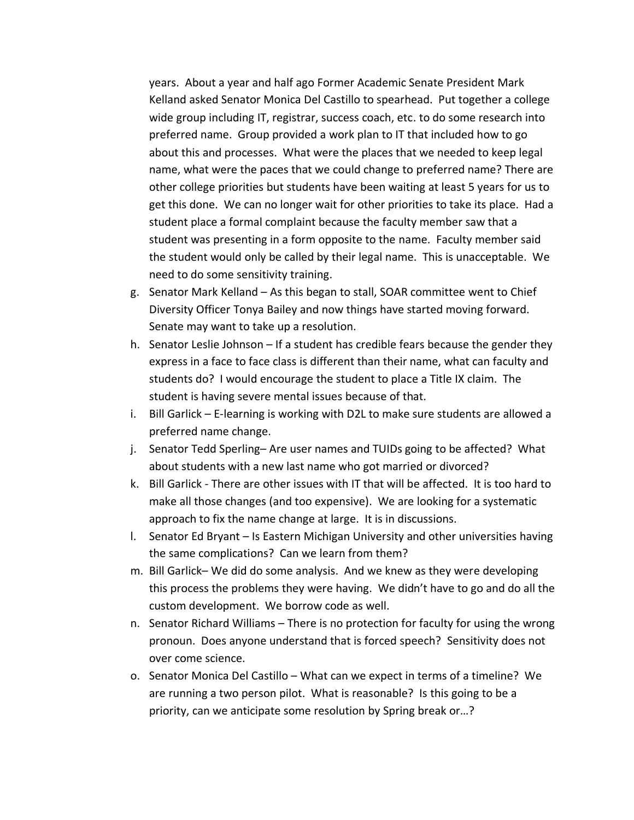years. About a year and half ago Former Academic Senate President Mark Kelland asked Senator Monica Del Castillo to spearhead. Put together a college wide group including IT, registrar, success coach, etc. to do some research into preferred name. Group provided a work plan to IT that included how to go about this and processes. What were the places that we needed to keep legal name, what were the paces that we could change to preferred name? There are other college priorities but students have been waiting at least 5 years for us to get this done. We can no longer wait for other priorities to take its place. Had a student place a formal complaint because the faculty member saw that a student was presenting in a form opposite to the name. Faculty member said the student would only be called by their legal name. This is unacceptable. We need to do some sensitivity training.

- g. Senator Mark Kelland As this began to stall, SOAR committee went to Chief Diversity Officer Tonya Bailey and now things have started moving forward. Senate may want to take up a resolution.
- h. Senator Leslie Johnson If a student has credible fears because the gender they express in a face to face class is different than their name, what can faculty and students do? I would encourage the student to place a Title IX claim. The student is having severe mental issues because of that.
- i. Bill Garlick E-learning is working with D2L to make sure students are allowed a preferred name change.
- j. Senator Tedd Sperling– Are user names and TUIDs going to be affected? What about students with a new last name who got married or divorced?
- k. Bill Garlick There are other issues with IT that will be affected. It is too hard to make all those changes (and too expensive). We are looking for a systematic approach to fix the name change at large. It is in discussions.
- l. Senator Ed Bryant Is Eastern Michigan University and other universities having the same complications? Can we learn from them?
- m. Bill Garlick– We did do some analysis. And we knew as they were developing this process the problems they were having. We didn't have to go and do all the custom development. We borrow code as well.
- n. Senator Richard Williams There is no protection for faculty for using the wrong pronoun. Does anyone understand that is forced speech? Sensitivity does not over come science.
- o. Senator Monica Del Castillo What can we expect in terms of a timeline? We are running a two person pilot. What is reasonable? Is this going to be a priority, can we anticipate some resolution by Spring break or…?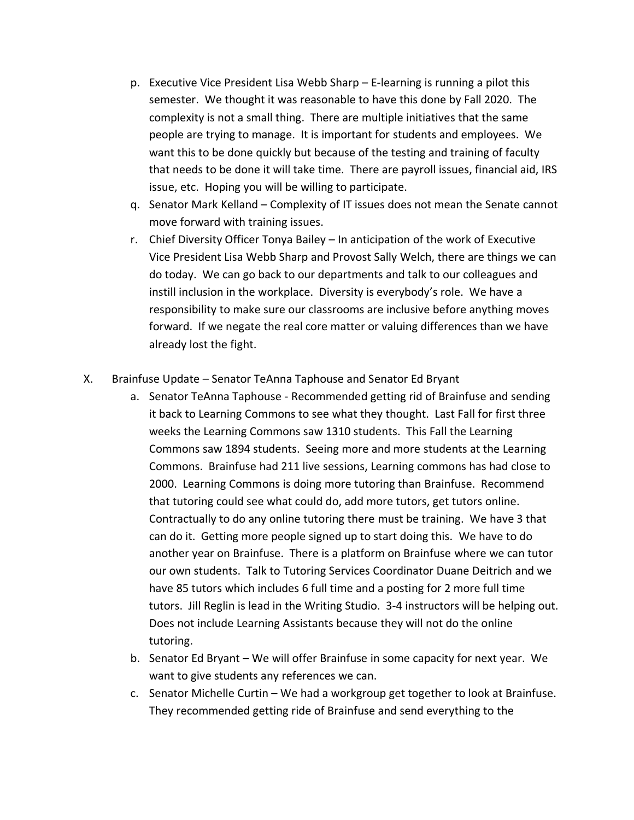- p. Executive Vice President Lisa Webb Sharp E-learning is running a pilot this semester. We thought it was reasonable to have this done by Fall 2020. The complexity is not a small thing. There are multiple initiatives that the same people are trying to manage. It is important for students and employees. We want this to be done quickly but because of the testing and training of faculty that needs to be done it will take time. There are payroll issues, financial aid, IRS issue, etc. Hoping you will be willing to participate.
- q. Senator Mark Kelland Complexity of IT issues does not mean the Senate cannot move forward with training issues.
- r. Chief Diversity Officer Tonya Bailey In anticipation of the work of Executive Vice President Lisa Webb Sharp and Provost Sally Welch, there are things we can do today. We can go back to our departments and talk to our colleagues and instill inclusion in the workplace. Diversity is everybody's role. We have a responsibility to make sure our classrooms are inclusive before anything moves forward. If we negate the real core matter or valuing differences than we have already lost the fight.
- X. Brainfuse Update Senator TeAnna Taphouse and Senator Ed Bryant
	- a. Senator TeAnna Taphouse Recommended getting rid of Brainfuse and sending it back to Learning Commons to see what they thought. Last Fall for first three weeks the Learning Commons saw 1310 students. This Fall the Learning Commons saw 1894 students. Seeing more and more students at the Learning Commons. Brainfuse had 211 live sessions, Learning commons has had close to 2000. Learning Commons is doing more tutoring than Brainfuse. Recommend that tutoring could see what could do, add more tutors, get tutors online. Contractually to do any online tutoring there must be training. We have 3 that can do it. Getting more people signed up to start doing this. We have to do another year on Brainfuse. There is a platform on Brainfuse where we can tutor our own students. Talk to Tutoring Services Coordinator Duane Deitrich and we have 85 tutors which includes 6 full time and a posting for 2 more full time tutors. Jill Reglin is lead in the Writing Studio. 3-4 instructors will be helping out. Does not include Learning Assistants because they will not do the online tutoring.
	- b. Senator Ed Bryant We will offer Brainfuse in some capacity for next year. We want to give students any references we can.
	- c. Senator Michelle Curtin We had a workgroup get together to look at Brainfuse. They recommended getting ride of Brainfuse and send everything to the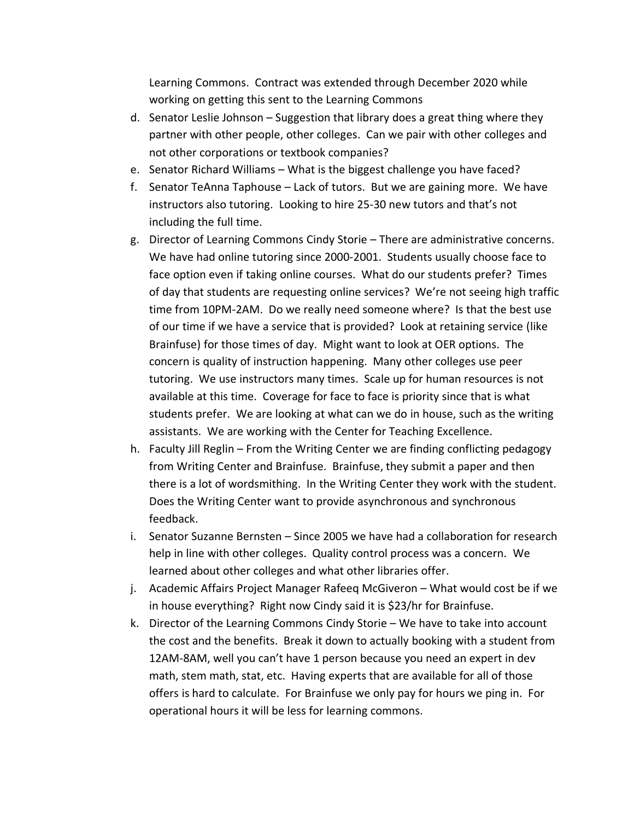Learning Commons. Contract was extended through December 2020 while working on getting this sent to the Learning Commons

- d. Senator Leslie Johnson Suggestion that library does a great thing where they partner with other people, other colleges. Can we pair with other colleges and not other corporations or textbook companies?
- e. Senator Richard Williams What is the biggest challenge you have faced?
- f. Senator TeAnna Taphouse Lack of tutors. But we are gaining more. We have instructors also tutoring. Looking to hire 25-30 new tutors and that's not including the full time.
- g. Director of Learning Commons Cindy Storie There are administrative concerns. We have had online tutoring since 2000-2001. Students usually choose face to face option even if taking online courses. What do our students prefer? Times of day that students are requesting online services? We're not seeing high traffic time from 10PM-2AM. Do we really need someone where? Is that the best use of our time if we have a service that is provided? Look at retaining service (like Brainfuse) for those times of day. Might want to look at OER options. The concern is quality of instruction happening. Many other colleges use peer tutoring. We use instructors many times. Scale up for human resources is not available at this time. Coverage for face to face is priority since that is what students prefer. We are looking at what can we do in house, such as the writing assistants. We are working with the Center for Teaching Excellence.
- h. Faculty Jill Reglin From the Writing Center we are finding conflicting pedagogy from Writing Center and Brainfuse. Brainfuse, they submit a paper and then there is a lot of wordsmithing. In the Writing Center they work with the student. Does the Writing Center want to provide asynchronous and synchronous feedback.
- i. Senator Suzanne Bernsten Since 2005 we have had a collaboration for research help in line with other colleges. Quality control process was a concern. We learned about other colleges and what other libraries offer.
- j. Academic Affairs Project Manager Rafeeq McGiveron What would cost be if we in house everything? Right now Cindy said it is \$23/hr for Brainfuse.
- k. Director of the Learning Commons Cindy Storie We have to take into account the cost and the benefits. Break it down to actually booking with a student from 12AM-8AM, well you can't have 1 person because you need an expert in dev math, stem math, stat, etc. Having experts that are available for all of those offers is hard to calculate. For Brainfuse we only pay for hours we ping in. For operational hours it will be less for learning commons.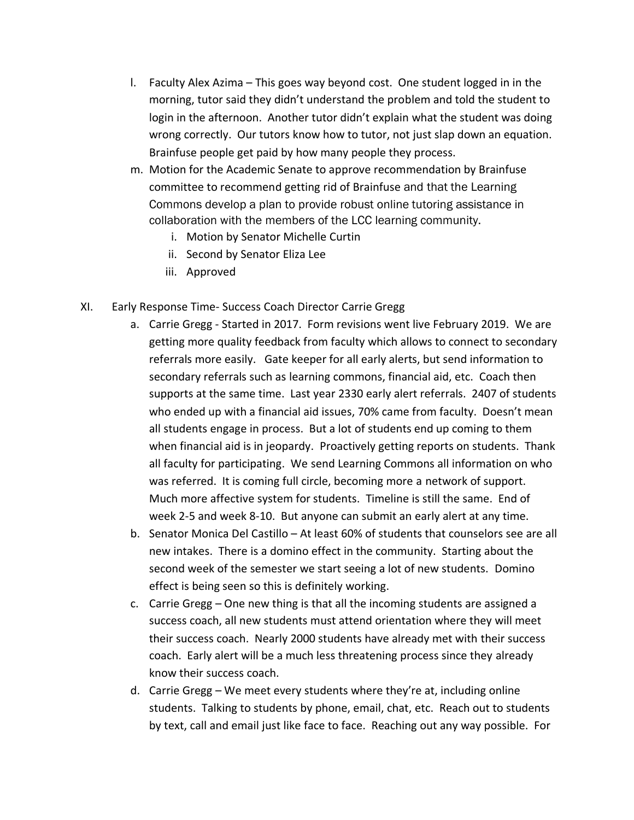- l. Faculty Alex Azima This goes way beyond cost. One student logged in in the morning, tutor said they didn't understand the problem and told the student to login in the afternoon. Another tutor didn't explain what the student was doing wrong correctly. Our tutors know how to tutor, not just slap down an equation. Brainfuse people get paid by how many people they process.
- m. Motion for the Academic Senate to approve recommendation by Brainfuse committee to recommend getting rid of Brainfuse and that the Learning Commons develop a plan to provide robust online tutoring assistance in collaboration with the members of the LCC learning community.
	- i. Motion by Senator Michelle Curtin
	- ii. Second by Senator Eliza Lee
	- iii. Approved
- XI. Early Response Time- Success Coach Director Carrie Gregg
	- a. Carrie Gregg Started in 2017. Form revisions went live February 2019. We are getting more quality feedback from faculty which allows to connect to secondary referrals more easily. Gate keeper for all early alerts, but send information to secondary referrals such as learning commons, financial aid, etc. Coach then supports at the same time. Last year 2330 early alert referrals. 2407 of students who ended up with a financial aid issues, 70% came from faculty. Doesn't mean all students engage in process. But a lot of students end up coming to them when financial aid is in jeopardy. Proactively getting reports on students. Thank all faculty for participating. We send Learning Commons all information on who was referred. It is coming full circle, becoming more a network of support. Much more affective system for students. Timeline is still the same. End of week 2-5 and week 8-10. But anyone can submit an early alert at any time.
	- b. Senator Monica Del Castillo At least 60% of students that counselors see are all new intakes. There is a domino effect in the community. Starting about the second week of the semester we start seeing a lot of new students. Domino effect is being seen so this is definitely working.
	- c. Carrie Gregg One new thing is that all the incoming students are assigned a success coach, all new students must attend orientation where they will meet their success coach. Nearly 2000 students have already met with their success coach. Early alert will be a much less threatening process since they already know their success coach.
	- d. Carrie Gregg We meet every students where they're at, including online students. Talking to students by phone, email, chat, etc. Reach out to students by text, call and email just like face to face. Reaching out any way possible. For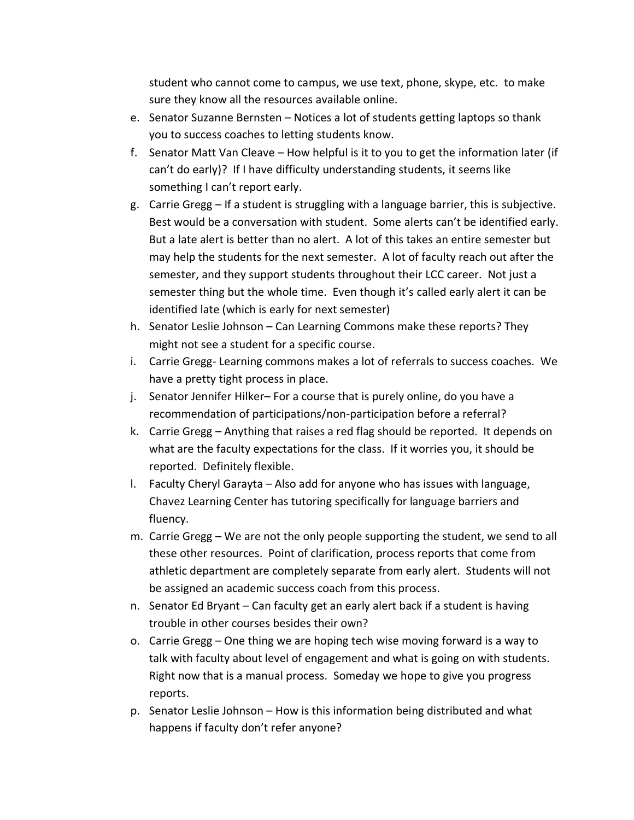student who cannot come to campus, we use text, phone, skype, etc. to make sure they know all the resources available online.

- e. Senator Suzanne Bernsten Notices a lot of students getting laptops so thank you to success coaches to letting students know.
- f. Senator Matt Van Cleave How helpful is it to you to get the information later (if can't do early)? If I have difficulty understanding students, it seems like something I can't report early.
- g. Carrie Gregg If a student is struggling with a language barrier, this is subjective. Best would be a conversation with student. Some alerts can't be identified early. But a late alert is better than no alert. A lot of this takes an entire semester but may help the students for the next semester. A lot of faculty reach out after the semester, and they support students throughout their LCC career. Not just a semester thing but the whole time. Even though it's called early alert it can be identified late (which is early for next semester)
- h. Senator Leslie Johnson Can Learning Commons make these reports? They might not see a student for a specific course.
- i. Carrie Gregg- Learning commons makes a lot of referrals to success coaches. We have a pretty tight process in place.
- j. Senator Jennifer Hilker– For a course that is purely online, do you have a recommendation of participations/non-participation before a referral?
- k. Carrie Gregg Anything that raises a red flag should be reported. It depends on what are the faculty expectations for the class. If it worries you, it should be reported. Definitely flexible.
- l. Faculty Cheryl Garayta Also add for anyone who has issues with language, Chavez Learning Center has tutoring specifically for language barriers and fluency.
- m. Carrie Gregg We are not the only people supporting the student, we send to all these other resources. Point of clarification, process reports that come from athletic department are completely separate from early alert. Students will not be assigned an academic success coach from this process.
- n. Senator Ed Bryant Can faculty get an early alert back if a student is having trouble in other courses besides their own?
- o. Carrie Gregg One thing we are hoping tech wise moving forward is a way to talk with faculty about level of engagement and what is going on with students. Right now that is a manual process. Someday we hope to give you progress reports.
- p. Senator Leslie Johnson How is this information being distributed and what happens if faculty don't refer anyone?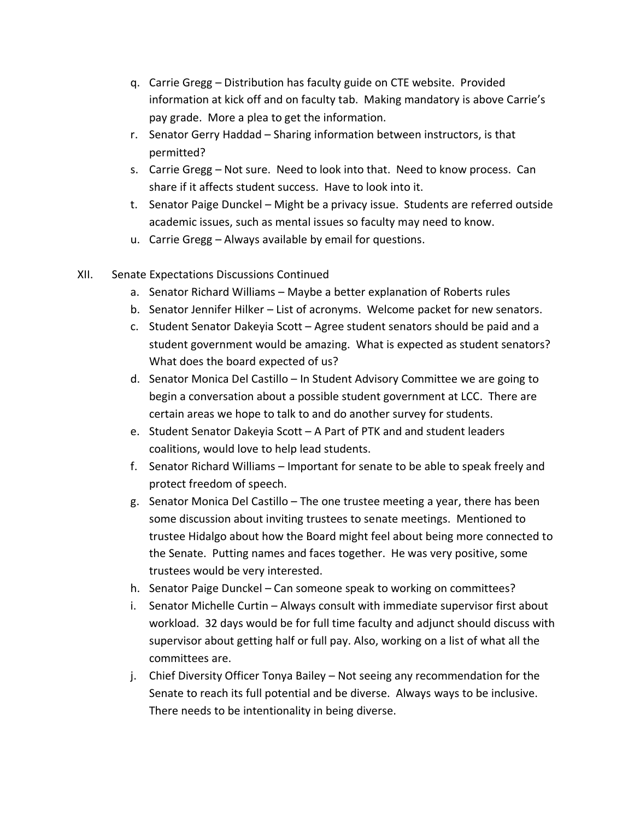- q. Carrie Gregg Distribution has faculty guide on CTE website. Provided information at kick off and on faculty tab. Making mandatory is above Carrie's pay grade. More a plea to get the information.
- r. Senator Gerry Haddad Sharing information between instructors, is that permitted?
- s. Carrie Gregg Not sure. Need to look into that. Need to know process. Can share if it affects student success. Have to look into it.
- t. Senator Paige Dunckel Might be a privacy issue. Students are referred outside academic issues, such as mental issues so faculty may need to know.
- u. Carrie Gregg Always available by email for questions.
- XII. Senate Expectations Discussions Continued
	- a. Senator Richard Williams Maybe a better explanation of Roberts rules
	- b. Senator Jennifer Hilker List of acronyms. Welcome packet for new senators.
	- c. Student Senator Dakeyia Scott Agree student senators should be paid and a student government would be amazing. What is expected as student senators? What does the board expected of us?
	- d. Senator Monica Del Castillo In Student Advisory Committee we are going to begin a conversation about a possible student government at LCC. There are certain areas we hope to talk to and do another survey for students.
	- e. Student Senator Dakeyia Scott A Part of PTK and and student leaders coalitions, would love to help lead students.
	- f. Senator Richard Williams Important for senate to be able to speak freely and protect freedom of speech.
	- g. Senator Monica Del Castillo The one trustee meeting a year, there has been some discussion about inviting trustees to senate meetings. Mentioned to trustee Hidalgo about how the Board might feel about being more connected to the Senate. Putting names and faces together. He was very positive, some trustees would be very interested.
	- h. Senator Paige Dunckel Can someone speak to working on committees?
	- i. Senator Michelle Curtin Always consult with immediate supervisor first about workload. 32 days would be for full time faculty and adjunct should discuss with supervisor about getting half or full pay. Also, working on a list of what all the committees are.
	- j. Chief Diversity Officer Tonya Bailey Not seeing any recommendation for the Senate to reach its full potential and be diverse. Always ways to be inclusive. There needs to be intentionality in being diverse.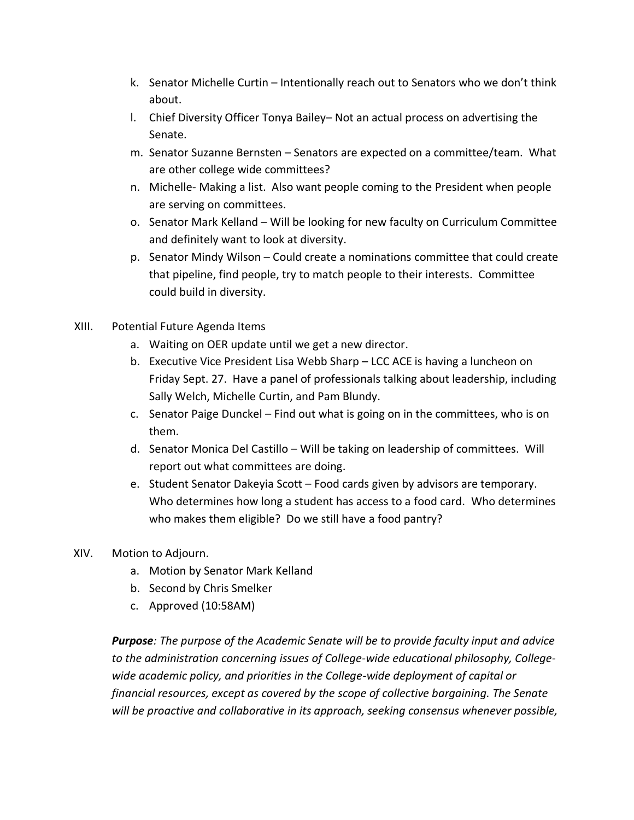- k. Senator Michelle Curtin Intentionally reach out to Senators who we don't think about.
- l. Chief Diversity Officer Tonya Bailey– Not an actual process on advertising the Senate.
- m. Senator Suzanne Bernsten Senators are expected on a committee/team. What are other college wide committees?
- n. Michelle- Making a list. Also want people coming to the President when people are serving on committees.
- o. Senator Mark Kelland Will be looking for new faculty on Curriculum Committee and definitely want to look at diversity.
- p. Senator Mindy Wilson Could create a nominations committee that could create that pipeline, find people, try to match people to their interests. Committee could build in diversity.
- XIII. Potential Future Agenda Items
	- a. Waiting on OER update until we get a new director.
	- b. Executive Vice President Lisa Webb Sharp LCC ACE is having a luncheon on Friday Sept. 27. Have a panel of professionals talking about leadership, including Sally Welch, Michelle Curtin, and Pam Blundy.
	- c. Senator Paige Dunckel Find out what is going on in the committees, who is on them.
	- d. Senator Monica Del Castillo Will be taking on leadership of committees. Will report out what committees are doing.
	- e. Student Senator Dakeyia Scott Food cards given by advisors are temporary. Who determines how long a student has access to a food card. Who determines who makes them eligible? Do we still have a food pantry?
- XIV. Motion to Adjourn.
	- a. Motion by Senator Mark Kelland
	- b. Second by Chris Smelker
	- c. Approved (10:58AM)

*Purpose: The purpose of the Academic Senate will be to provide faculty input and advice to the administration concerning issues of College-wide educational philosophy, Collegewide academic policy, and priorities in the College-wide deployment of capital or financial resources, except as covered by the scope of collective bargaining. The Senate will be proactive and collaborative in its approach, seeking consensus whenever possible,*